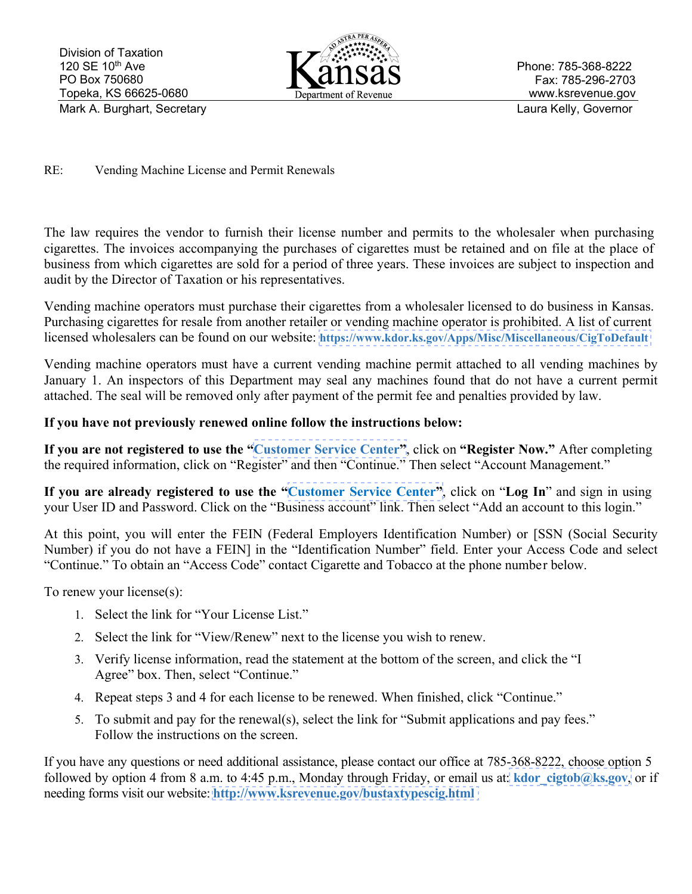

Phone: 785-368-8222 Fax: 785-296-2703 www.ksrevenue.gov

## RE: Vending Machine License and Permit Renewals

The law requires the vendor to furnish their license number and permits to the wholesaler when purchasing cigarettes. The invoices accompanying the purchases of cigarettes must be retained and on file at the place of business from which cigarettes are sold for a period of three years. These invoices are subject to inspection and audit by the Director of Taxation or his representatives.

Vending machine operators must purchase their cigarettes from a wholesaler licensed to do business in Kansas. Purchasing cigarettes for resale from another retailer or vending machine operator is prohibited. A list of current licensed wholesalers can be found on our website: **<https://www.kdor.ks.gov/Apps/Misc/Miscellaneous/CigToDefault>**

Vending machine operators must have a current vending machine permit attached to all vending machines by January 1. An inspectors of this Department may seal any machines found that do not have a current permit attached. The seal will be removed only after payment of the permit fee and penalties provided by law.

## **If you have not previously renewed online follow the instructions below:**

**If you are not registered to use the "[Customer Service Center"](https://www.kdor.ks.gov/Apps/kcsc/login.aspx)**, click on **"Register Now."** After completing the required information, click on "Register" and then "Continue." Then select "Account Management."

**If you are already registered to use the "[Customer Service Center"](https://www.kdor.ks.gov/Apps/kcsc/login.aspx)**, click on "**Log In**" and sign in using your User ID and Password. Click on the "Business account" link. Then select "Add an account to this login."

At this point, you will enter the FEIN (Federal Employers Identification Number) or [SSN (Social Security Number) if you do not have a FEIN] in the "Identification Number" field. Enter your Access Code and select "Continue." To obtain an "Access Code" contact Cigarette and Tobacco at the phone number below.

To renew your license(s):

- 1. Select the link for "Your License List."
- 2. Select the link for "View/Renew" next to the license you wish to renew.
- 3. Verify license information, read the statement at the bottom of the screen, and click the "I Agree" box. Then, select "Continue."
- 4. Repeat steps 3 and 4 for each license to be renewed. When finished, click "Continue."
- 5. To submit and pay for the renewal(s), select the link for "Submit applications and pay fees." Follow the instructions on the screen.

If you have any questions or need additional assistance, please contact our office at 785-368-8222, choose option 5 followed by option 4 from 8 a.m. to 4:45 p.m., Monday through Friday, or email us at: **kdor** cigtob@ks.gov, or if needing forms visit our website: **[http://www.ksrevenue.](https://www.ksrevenue.org/bustaxtypescig.html)gov/bustaxtypescig.html**